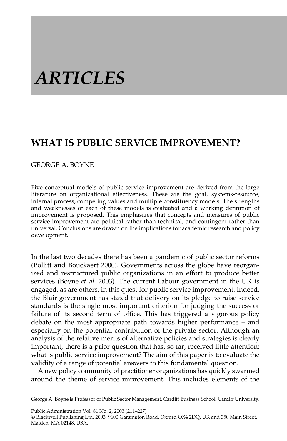# *ARTICLES*

# **WHAT IS PUBLIC SERVICE IMPROVEMENT?**

# GEORGE A. BOYNE

Five conceptual models of public service improvement are derived from the large literature on organizational effectiveness. These are the goal, systems-resource, internal process, competing values and multiple constituency models. The strengths and weaknesses of each of these models is evaluated and a working definition of improvement is proposed. This emphasizes that concepts and measures of public service improvement are political rather than technical, and contingent rather than universal. Conclusions are drawn on the implications for academic research and policy development.

In the last two decades there has been a pandemic of public sector reforms (Pollitt and Bouckaert 2000). Governments across the globe have reorganized and restructured public organizations in an effort to produce better services (Boyne *et al*. 2003). The current Labour government in the UK is engaged, as are others, in this quest for public service improvement. Indeed, the Blair government has stated that delivery on its pledge to raise service standards is the single most important criterion for judging the success or failure of its second term of office. This has triggered a vigorous policy debate on the most appropriate path towards higher performance – and especially on the potential contribution of the private sector. Although an analysis of the relative merits of alternative policies and strategies is clearly important, there is a prior question that has, so far, received little attention: what is public service improvement? The aim of this paper is to evaluate the validity of a range of potential answers to this fundamental question.

A new policy community of practitioner organizations has quickly swarmed around the theme of service improvement. This includes elements of the

George A. Boyne is Professor of Public Sector Management, Cardiff Business School, Cardiff University.

Public Administration Vol. 81 No. 2, 2003 (211–227) © Blackwell Publishing Ltd. 2003, 9600 Garsington Road, Oxford OX4 2DQ, UK and 350 Main Street, Malden, MA 02148, USA.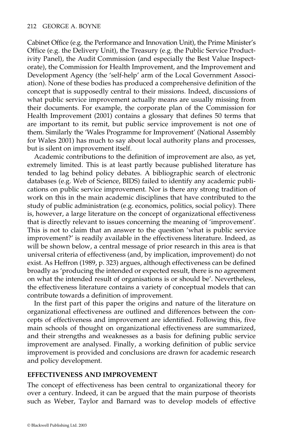Cabinet Office (e.g. the Performance and Innovation Unit), the Prime Minister's Office (e.g. the Delivery Unit), the Treasury (e.g. the Public Service Productivity Panel), the Audit Commission (and especially the Best Value Inspectorate), the Commission for Health Improvement, and the Improvement and Development Agency (the 'self-help' arm of the Local Government Association). None of these bodies has produced a comprehensive definition of the concept that is supposedly central to their missions. Indeed, discussions of what public service improvement actually means are usually missing from their documents. For example, the corporate plan of the Commission for Health Improvement (2001) contains a glossary that defines 50 terms that are important to its remit, but public service improvement is not one of them. Similarly the 'Wales Programme for Improvement' (National Assembly for Wales 2001) has much to say about local authority plans and processes, but is silent on improvement itself.

Academic contributions to the definition of improvement are also, as yet, extremely limited. This is at least partly because published literature has tended to lag behind policy debates. A bibliographic search of electronic databases (e.g. Web of Science, BIDS) failed to identify any academic publications on public service improvement. Nor is there any strong tradition of work on this in the main academic disciplines that have contributed to the study of public administration (e.g. economics, politics, social policy). There is, however, a large literature on the concept of organizational effectiveness that is directly relevant to issues concerning the meaning of 'improvement'. This is not to claim that an answer to the question 'what is public service improvement?' is readily available in the effectiveness literature. Indeed, as will be shown below, a central message of prior research in this area is that universal criteria of effectiveness (and, by implication, improvement) do not exist. As Heffron (1989, p. 323) argues, although effectiveness can be defined broadly as 'producing the intended or expected result, there is no agreement on what the intended result of organisations is or should be'. Nevertheless, the effectiveness literature contains a variety of conceptual models that can contribute towards a definition of improvement.

In the first part of this paper the origins and nature of the literature on organizational effectiveness are outlined and differences between the concepts of effectiveness and improvement are identified. Following this, five main schools of thought on organizational effectiveness are summarized, and their strengths and weaknesses as a basis for defining public service improvement are analysed. Finally, a working definition of public service improvement is provided and conclusions are drawn for academic research and policy development.

#### **EFFECTIVENESS AND IMPROVEMENT**

The concept of effectiveness has been central to organizational theory for over a century. Indeed, it can be argued that the main purpose of theorists such as Weber, Taylor and Barnard was to develop models of effective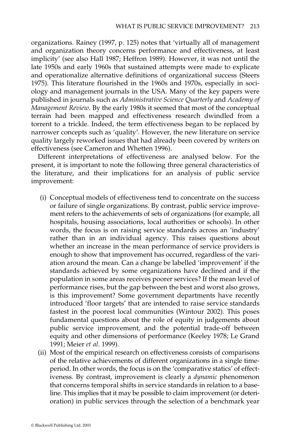organizations. Rainey (1997, p. 125) notes that 'virtually all of management and organization theory concerns performance and effectiveness, at least implicity' (see also Hall 1987; Heffron 1989). However, it was not until the late 1950s and early 1960s that sustained attempts were made to explicate and operationalize alternative definitions of organizational success (Steers 1975). This literature flourished in the 1960s and 1970s, especially in sociology and management journals in the USA. Many of the key papers were published in journals such as *Administrative Science Quarterly* and *Academy of Management Review*. By the early 1980s it seemed that most of the conceptual terrain had been mapped and effectiveness research dwindled from a torrent to a trickle. Indeed, the term effectiveness began to be replaced by narrower concepts such as 'quality'. However, the new literature on service quality largely reworked issues that had already been covered by writers on effectiveness (see Cameron and Whetten 1996).

Different interpretations of effectiveness are analysed below. For the present, it is important to note the following three general characteristics of the literature, and their implications for an analysis of public service improvement:

- (i) Conceptual models of effectiveness tend to concentrate on the success or failure of single organizations. By contrast, public service improvement refers to the achievements of sets of organizations (for example, all hospitals, housing associations, local authorities or schools). In other words, the focus is on raising service standards across an 'industry' rather than in an individual agency. This raises questions about whether an increase in the mean performance of service providers is enough to show that improvement has occurred, regardless of the variation around the mean. Can a change be labelled 'improvement' if the standards achieved by some organizations have declined and if the population in some areas receives poorer services? If the mean level of performance rises, but the gap between the best and worst also grows, is this improvement? Some government departments have recently introduced 'floor targets' that are intended to raise service standards fastest in the poorest local communities (Wintour 2002). This poses fundamental questions about the role of equity in judgements about public service improvement, and the potential trade-off between equity and other dimensions of performance (Keeley 1978; Le Grand 1991; Meier *et al*. 1999).
- (ii) Most of the empirical research on effectiveness consists of comparisons of the relative achievements of different organizations in a single timeperiod. In other words, the focus is on the 'comparative statics' of effectiveness. By contrast, improvement is clearly a *dynamic* phenomenon that concerns temporal shifts in service standards in relation to a baseline. This implies that it may be possible to claim improvement (or deterioration) in public services through the selection of a benchmark year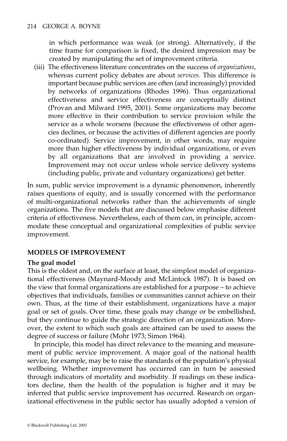in which performance was weak (or strong). Alternatively, if the time frame for comparison is fixed, the desired impression may be created by manipulating the set of improvement criteria.

(iii) The effectiveness literature concentrates on the success of *organizations*, whereas current policy debates are about *services*. This difference is important because public services are often (and increasingly) provided by networks of organizations (Rhodes 1996). Thus organizational effectiveness and service effectiveness are conceptually distinct (Provan and Milward 1995, 2001). Some organizations may become more effective in their contribution to service provision while the service as a whole worsens (because the effectiveness of other agencies declines, or because the activities of different agencies are poorly co-ordinated). Service improvement, in other words, may require more than higher effectiveness by individual organizations, or even by all organizations that are involved in providing a service. Improvement may not occur unless whole service delivery systems (including public, private and voluntary organizations) get better.

In sum, public service improvement is a dynamic phenomenon, inherently raises questions of equity, and is usually concerned with the performance of multi-organizational networks rather than the achievements of single organizations. The five models that are discussed below emphasise different criteria of effectiveness. Nevertheless, each of them can, in principle, accommodate these conceptual and organizational complexities of public service improvement.

# **MODELS OF IMPROVEMENT**

#### **The goal model**

This is the oldest and, on the surface at least, the simplest model of organizational effectiveness (Maynard-Moody and McLintock 1987). It is based on the view that formal organizations are established for a purpose – to achieve objectives that individuals, families or communities cannot achieve on their own. Thus, at the time of their establishment, organizations have a major goal or set of goals. Over time, these goals may change or be embellished, but they continue to guide the strategic direction of an organization. Moreover, the extent to which such goals are attained can be used to assess the degree of success or failure (Mohr 1973; Simon 1964).

In principle, this model has direct relevance to the meaning and measurement of public service improvement. A major goal of the national health service, for example, may be to raise the standards of the population's physical wellbeing. Whether improvement has occurred can in turn be assessed through indicators of mortality and morbidity. If readings on these indicators decline, then the health of the population is higher and it may be inferred that public service improvement has occurred. Research on organizational effectiveness in the public sector has usually adopted a version of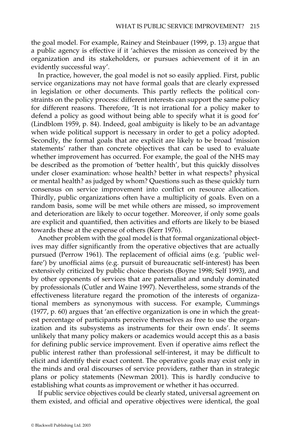the goal model. For example, Rainey and Steinbauer (1999, p. 13) argue that a public agency is effective if it 'achieves the mission as conceived by the organization and its stakeholders, or pursues achievement of it in an evidently successful way'.

In practice, however, the goal model is not so easily applied. First, public service organizations may not have formal goals that are clearly expressed in legislation or other documents. This partly reflects the political constraints on the policy process: different interests can support the same policy for different reasons. Therefore, 'It is not irrational for a policy maker to defend a policy as good without being able to specify what it is good for' (Lindblom 1959, p. 84). Indeed, goal ambiguity is likely to be an advantage when wide political support is necessary in order to get a policy adopted. Secondly, the formal goals that are explicit are likely to be broad 'mission statements' rather than concrete objectives that can be used to evaluate whether improvement has occurred. For example, the goal of the NHS may be described as the promotion of 'better health', but this quickly dissolves under closer examination: whose health? better in what respects? physical or mental health? as judged by whom? Questions such as these quickly turn consensus on service improvement into conflict on resource allocation. Thirdly, public organizations often have a multiplicity of goals. Even on a random basis, some will be met while others are missed, so improvement and deterioration are likely to occur together. Moreover, if only some goals are explicit and quantified, then activities and efforts are likely to be biased towards these at the expense of others (Kerr 1976).

Another problem with the goal model is that formal organizational objectives may differ significantly from the operative objectives that are actually pursued (Perrow 1961). The replacement of official aims (e.g. 'public welfare') by unofficial aims (e.g. pursuit of bureaucratic self-interest) has been extensively criticized by public choice theorists (Boyne 1998; Self 1993), and by other opponents of services that are paternalist and unduly dominated by professionals (Cutler and Waine 1997). Nevertheless, some strands of the effectiveness literature regard the promotion of the interests of organizational members as synonymous with success. For example, Cummings (1977, p. 60) argues that 'an effective organization is one in which the greatest percentage of participants perceive themselves as free to use the organization and its subsystems as instruments for their own ends'. It seems unlikely that many policy makers or academics would accept this as a basis for defining public service improvement. Even if operative aims reflect the public interest rather than professional self-interest, it may be difficult to elicit and identify their exact content. The operative goals may exist only in the minds and oral discourses of service providers, rather than in strategic plans or policy statements (Newman 2001). This is hardly conducive to establishing what counts as improvement or whether it has occurred.

If public service objectives could be clearly stated, universal agreement on them existed, and official and operative objectives were identical, the goal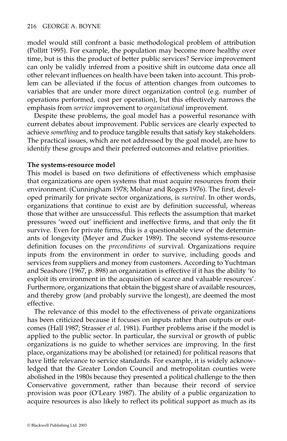model would still confront a basic methodological problem of attribution (Pollitt 1995). For example, the population may become more healthy over time, but is this the product of better public services? Service improvement can only be validly inferred from a positive shift in outcome data once all other relevant influences on health have been taken into account. This problem can be alleviated if the focus of attention changes from outcomes to variables that are under more direct organization control (e.g. number of operations performed, cost per operation), but this effectively narrows the emphasis from *service* improvement to *organizational* improvement.

Despite these problems, the goal model has a powerful resonance with current debates about improvement. Public services are clearly expected to achieve *something* and to produce tangible results that satisfy key stakeholders. The practical issues, which are not addressed by the goal model, are how to identify these groups and their preferred outcomes and relative priorities.

#### **The systems-resource model**

This model is based on two definitions of effectiveness which emphasise that organizations are open systems that must acquire resources from their environment. (Cunningham 1978; Molnar and Rogers 1976). The first, developed primarily for private sector organizations, is *survival*. In other words, organizations that continue to exist are by definition successful, whereas those that wither are unsuccessful. This reflects the assumption that market pressures 'weed out' inefficient and ineffective firms, and that only the fit survive. Even for private firms, this is a questionable view of the determinants of longevity (Meyer and Zucker 1989). The second systems-resource definition focuses on the *preconditions* of survival. Organizations require inputs from the environment in order to survive, including goods and services from suppliers and money from customers. According to Yuchtman and Seashore (1967, p. 898) an organization is effective if it has the ability 'to exploit its environment in the acquisition of scarce and valuable resources'. Furthermore, organizations that obtain the biggest share of available resources, and thereby grow (and probably survive the longest), are deemed the most effective.

The relevance of this model to the effectiveness of private organizations has been criticized because it focuses on inputs rather than outputs or outcomes (Hall 1987; Strasser *et al*. 1981). Further problems arise if the model is applied to the public sector. In particular, the survival or growth of public organizations is no guide to whether services are improving. In the first place, organizations may be abolished (or retained) for political reasons that have little relevance to service standards. For example, it is widely acknowledged that the Greater London Council and metropolitan counties were abolished in the 1980s because they presented a political challenge to the then Conservative government, rather than because their record of service provision was poor (O'Leary 1987). The ability of a public organization to acquire resources is also likely to reflect its political support as much as its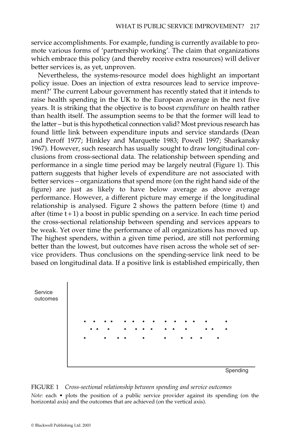service accomplishments. For example, funding is currently available to promote various forms of 'partnership working'. The claim that organizations which embrace this policy (and thereby receive extra resources) will deliver better services is, as yet, unproven.

Nevertheless, the systems-resource model does highlight an important policy issue. Does an injection of extra resources lead to service improvement?' The current Labour government has recently stated that it intends to raise health spending in the UK to the European average in the next five years. It is striking that the objective is to boost *expenditure* on health rather than health itself. The assumption seems to be that the former will lead to the latter – but is this hypothetical connection valid? Most previous research has found little link between expenditure inputs and service standards (Dean and Peroff 1977; Hinkley and Marquette 1983; Powell 1997; Sharkansky 1967). However, such research has usually sought to draw longitudinal conclusions from cross-sectional data. The relationship between spending and performance in a single time period may be largely neutral (Figure 1). This pattern suggests that higher levels of expenditure are not associated with better services – organizations that spend more (on the right hand side of the figure) are just as likely to have below average as above average performance. However, a different picture may emerge if the longitudinal relationship is analysed. Figure 2 shows the pattern before (time t) and after (time  $t + 1$ ) a boost in public spending on a service. In each time period the cross-sectional relationship between spending and services appears to be weak. Yet over time the performance of all organizations has moved up. The highest spenders, within a given time period, are still not performing better than the lowest, but outcomes have risen across the whole set of service providers. Thus conclusions on the spending-service link need to be based on longitudinal data. If a positive link is established empirically, then



#### FIGURE 1 *Cross-sectional relationship between spending and service outcomes*

*Note*: each • plots the position of a public service provider against its spending (on the horizontal axis) and the outcomes that are achieved (on the vertical axis).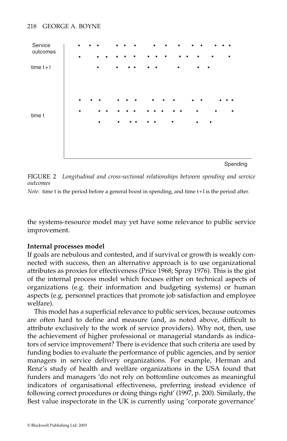

FIGURE 2 *Longitudinal and cross-sectional relationships between spending and service outcomes*

*Note*: time t is the period before a general boost in spending, and time t+l is the period after.

the systems-resource model may yet have some relevance to public service improvement.

# **Internal processes model**

If goals are nebulous and contested, and if survival or growth is weakly connected with success, then an alternative approach is to use organizational attributes as proxies for effectiveness (Price 1968; Spray 1976). This is the gist of the internal process model which focuses either on technical aspects of organizations (e.g. their information and budgeting systems) or human aspects (e.g. personnel practices that promote job satisfaction and employee welfare).

This model has a superficial relevance to public services, because outcomes are often hard to define and measure (and, as noted above, difficult to attribute exclusively to the work of service providers). Why not, then, use the achievement of higher professional or managerial standards as indicators of service improvement? There is evidence that such criteria are used by funding bodies to evaluate the performance of public agencies, and by senior managers in service delivery organizations. For example, Herman and Renz's study of health and welfare organizations in the USA found that funders and managers 'do not rely on bottomline outcomes as meaningful indicators of organisational effectiveness, preferring instead evidence of following correct procedures or doing things right' (1997, p. 200). Similarly, the Best value inspectorate in the UK is currently using 'corporate governance'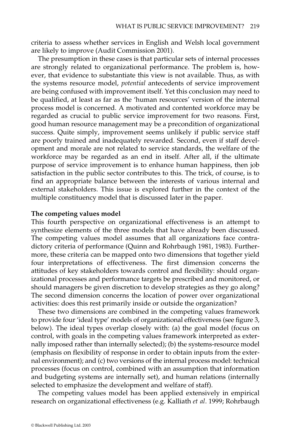criteria to assess whether services in English and Welsh local government are likely to improve (Audit Commission 2001).

The presumption in these cases is that particular sets of internal processes are strongly related to organizational performance. The problem is, however, that evidence to substantiate this view is not available. Thus, as with the systems resource model, *potential* antecedents of service improvement are being confused with improvement itself. Yet this conclusion may need to be qualified, at least as far as the 'human resources' version of the internal process model is concerned. A motivated and contented workforce may be regarded as crucial to public service improvement for two reasons. First, good human resource management may be a precondition of organizational success. Quite simply, improvement seems unlikely if public service staff are poorly trained and inadequately rewarded. Second, even if staff development and morale are not related to service standards, the welfare of the workforce may be regarded as an end in itself. After all, if the ultimate purpose of service improvement is to enhance human happiness, then job satisfaction in the public sector contributes to this. The trick, of course, is to find an appropriate balance between the interests of various internal and external stakeholders. This issue is explored further in the context of the multiple constituency model that is discussed later in the paper.

# **The competing values model**

This fourth perspective on organizational effectiveness is an attempt to synthesize elements of the three models that have already been discussed. The competing values model assumes that all organizations face contradictory criteria of performance (Quinn and Rohrbaugh 1981, 1983). Furthermore, these criteria can be mapped onto two dimensions that together yield four interpretations of effectiveness. The first dimension concerns the attitudes of key stakeholders towards control and flexibility: should organizational processes and performance targets be prescribed and monitored, or should managers be given discretion to develop strategies as they go along? The second dimension concerns the location of power over organizational activities: does this rest primarily inside or outside the organization?

These two dimensions are combined in the competing values framework to provide four 'ideal type' models of organizational effectiveness (see figure 3, below). The ideal types overlap closely with: (a) the goal model (focus on control, with goals in the competing values framework interpreted as externally imposed rather than internally selected); (b) the systems-resource model (emphasis on flexibility of response in order to obtain inputs from the external environment); and (c) two versions of the internal process model: technical processes (focus on control, combined with an assumption that information and budgeting systems are internally set), and human relations (internally selected to emphasize the development and welfare of staff).

The competing values model has been applied extensively in empirical research on organizational effectiveness (e.g. Kalliath *et al*. 1999; Rohrbaugh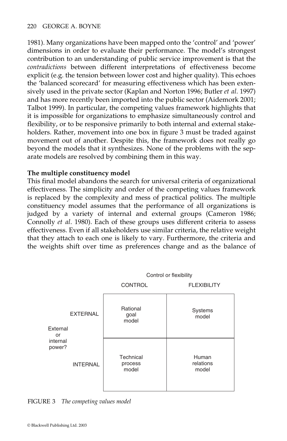1981). Many organizations have been mapped onto the 'control' and 'power' dimensions in order to evaluate their performance. The model's strongest contribution to an understanding of public service improvement is that the *contradictions* between different interpretations of effectiveness become explicit (e.g. the tension between lower cost and higher quality). This echoes the 'balanced scorecard' for measuring effectiveness which has been extensively used in the private sector (Kaplan and Norton 1996; Butler *et al*. 1997) and has more recently been imported into the public sector (Aidemork 2001; Talbot 1999). In particular, the competing values framework highlights that it is impossible for organizations to emphasize simultaneously control and flexibility, or to be responsive primarily to both internal and external stakeholders. Rather, movement into one box in figure 3 must be traded against movement out of another. Despite this, the framework does not really go beyond the models that it synthesizes. None of the problems with the separate models are resolved by combining them in this way.

# **The multiple constituency model**

This final model abandons the search for universal criteria of organizational effectiveness. The simplicity and order of the competing values framework is replaced by the complexity and mess of practical politics. The multiple constituency model assumes that the performance of all organizations is judged by a variety of internal and external groups (Cameron 1986; Connolly *et al*. 1980). Each of these groups uses different criteria to assess effectiveness. Even if all stakeholders use similar criteria, the relative weight that they attach to each one is likely to vary. Furthermore, the criteria and the weights shift over time as preferences change and as the balance of



FIGURE 3 *The competing values model*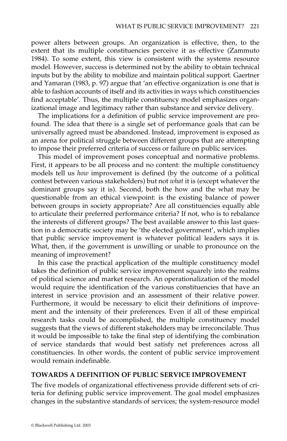power alters between groups. An organization is effective, then, to the extent that its multiple constituencies perceive it as effective (Zammuto 1984). To some extent, this view is consistent with the systems resource model. However, success is determined not by the ability to obtain technical inputs but by the ability to mobilize and maintain political support. Gaertner and Yamaran (1983, p. 97) argue that 'an effective organization is one that is able to fashion accounts of itself and its activities in ways which constituencies find acceptable'. Thus, the multiple constituency model emphasizes organizational image and legitimacy rather than substance and service delivery.

The implications for a definition of public service improvement are profound. The idea that there is a single set of performance goals that can be universally agreed must be abandoned. Instead, improvement is exposed as an arena for political struggle between different groups that are attempting to impose their preferred criteria of success or failure on public services.

This model of improvement poses conceptual and normative problems. First, it appears to be all process and no content: the multiple constituency models tell us *how* improvement is defined (by the outcome of a political contest between various stakeholders) but not *what* it is (except whatever the dominant groups say it is). Second, both the how and the what may be questionable from an ethical viewpoint: is the existing balance of power between groups in society appropriate? Are all constituencies equally able to articulate their preferred performance criteria? If not, who is to rebalance the interests of different groups? The best available answer to this last question in a democratic society may be 'the elected government', which implies that public service improvement is whatever political leaders says it is. What, then, if the government is unwilling or unable to pronounce on the meaning of improvement?

In this case the practical application of the multiple constituency model takes the definition of public service improvement squarely into the realms of political science and market research. An operationalization of the model would require the identification of the various constituencies that have an interest in service provision and an assessment of their relative power. Furthermore, it would be necessary to elicit their definitions of improvement and the intensity of their preferences. Even if all of these empirical research tasks could be accomplished, the multiple constituency model suggests that the views of different stakeholders may be irreconcilable. Thus it would be impossible to take the final step of identifying the combination of service standards that would best satisfy net preferences across all constituencies. In other words, the content of public service improvement would remain indefinable.

### **TOWARDS A DEFINITION OF PUBLIC SERVICE IMPROVEMENT**

The five models of organizational effectiveness provide different sets of criteria for defining public service improvement. The goal model emphasizes changes in the substantive standards of services; the system-resource model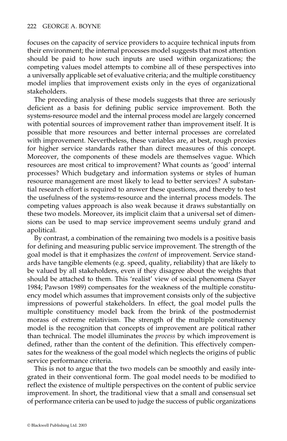focuses on the capacity of service providers to acquire technical inputs from their environment; the internal processes model suggests that most attention should be paid to how such inputs are used within organizations; the competing values model attempts to combine all of these perspectives into a universally applicable set of evaluative criteria; and the multiple constituency model implies that improvement exists only in the eyes of organizational stakeholders.

The preceding analysis of these models suggests that three are seriously deficient as a basis for defining public service improvement. Both the systems-resource model and the internal process model are largely concerned with potential sources of improvement rather than improvement itself. It is possible that more resources and better internal processes are correlated with improvement. Nevertheless, these variables are, at best, rough proxies for higher service standards rather than direct measures of this concept. Moreover, the components of these models are themselves vague. Which resources are most critical to improvement? What counts as 'good' internal processes? Which budgetary and information systems or styles of human resource management are most likely to lead to better services? A substantial research effort is required to answer these questions, and thereby to test the usefulness of the systems-resource and the internal process models. The competing values approach is also weak because it draws substantially on these two models. Moreover, its implicit claim that a universal set of dimensions can be used to map service improvement seems unduly grand and apolitical.

By contrast, a combination of the remaining two models is a positive basis for defining and measuring public service improvement. The strength of the goal model is that it emphasizes the *content* of improvement. Service standards have tangible elements (e.g. speed, quality, reliability) that are likely to be valued by all stakeholders, even if they disagree about the weights that should be attached to them. This 'realist' view of social phenomena (Sayer 1984; Pawson 1989) compensates for the weakness of the multiple constituency model which assumes that improvement consists only of the subjective impressions of powerful stakeholders. In effect, the goal model pulls the multiple constituency model back from the brink of the postmodernist morass of extreme relativism. The strength of the multiple constituency model is the recognition that concepts of improvement are political rather than technical. The model illuminates the *process* by which improvement is defined, rather than the content of the definition. This effectively compensates for the weakness of the goal model which neglects the origins of public service performance criteria.

This is not to argue that the two models can be smoothly and easily integrated in their conventional form. The goal model needs to be modified to reflect the existence of multiple perspectives on the content of public service improvement. In short, the traditional view that a small and consensual set of performance criteria can be used to judge the success of public organizations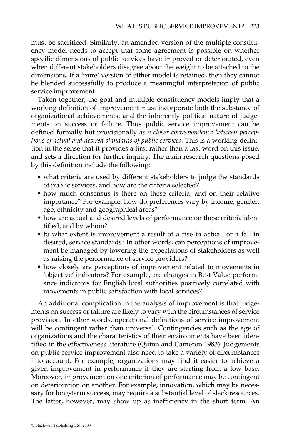must be sacrificed. Similarly, an amended version of the multiple constituency model needs to accept that some agreement is possible on whether specific dimensions of public services have improved or deteriorated, even when different stakeholders disagree about the weight to be attached to the dimensions. If a 'pure' version of either model is retained, then they cannot be blended successfully to produce a meaningful interpretation of public service improvement.

Taken together, the goal and multiple constituency models imply that a working definition of improvement must incorporate both the substance of organizational achievements, and the inherently political nature of judgements on success or failure. Thus public service improvement can be defined formally but provisionally as *a closer correspondence between perceptions of actual and desired standards of public services*. This is a working definition in the sense that it provides a first rather than a last word on this issue, and sets a direction for further inquiry. The main research questions posed by this definition include the following:

- what criteria are used by different stakeholders to judge the standards of public services, and how are the criteria selected?
- how much consensus is there on these criteria, and on their relative importance? For example, how do preferences vary by income, gender, age, ethnicity and geographical areas?
- how are actual and desired levels of performance on these criteria identified, and by whom?
- to what extent is improvement a result of a rise in actual, or a fall in desired, service standards? In other words, can perceptions of improvement be managed by lowering the expectations of stakeholders as well as raising the performance of service providers?
- how closely are perceptions of improvement related to movements in 'objective' indicators? For example, are changes in Best Value performance indicators for English local authorities positively correlated with movements in public satisfaction with local services?

An additional complication in the analysis of improvement is that judgements on success or failure are likely to vary with the circumstances of service provision. In other words, operational definitions of service improvement will be contingent rather than universal. Contingencies such as the age of organizations and the characteristics of their environments have been identified in the effectiveness literature (Quinn and Cameron 1983). Judgements on public service improvement also need to take a variety of circumstances into account. For example, organizations may find it easier to achieve a given improvement in performance if they are starting from a low base. Moreover, improvement on one criterion of performance may be contingent on deterioration on another. For example, innovation, which may be necessary for long-term success, may require a substantial level of slack resources. The latter, however, may show up as inefficiency in the short term. An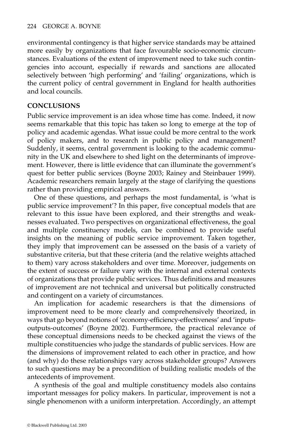environmental contingency is that higher service standards may be attained more easily by organizations that face favourable socio-economic circumstances. Evaluations of the extent of improvement need to take such contingencies into account, especially if rewards and sanctions are allocated selectively between 'high performing' and 'failing' organizations, which is the current policy of central government in England for health authorities and local councils.

#### **CONCLUSIONS**

Public service improvement is an idea whose time has come. Indeed, it now seems remarkable that this topic has taken so long to emerge at the top of policy and academic agendas. What issue could be more central to the work of policy makers, and to research in public policy and management? Suddenly, it seems, central government is looking to the academic community in the UK and elsewhere to shed light on the determinants of improvement. However, there is little evidence that can illuminate the government's quest for better public services (Boyne 2003; Rainey and Steinbauer 1999). Academic researchers remain largely at the stage of clarifying the questions rather than providing empirical answers.

One of these questions, and perhaps the most fundamental, is 'what is public service improvement'? In this paper, five conceptual models that are relevant to this issue have been explored, and their strengths and weaknesses evaluated. Two perspectives on organizational effectiveness, the goal and multiple constituency models, can be combined to provide useful insights on the meaning of public service improvement. Taken together, they imply that improvement can be assessed on the basis of a variety of substantive criteria, but that these criteria (and the relative weights attached to them) vary across stakeholders and over time. Moreover, judgements on the extent of success or failure vary with the internal and external contexts of organizations that provide public services. Thus definitions and measures of improvement are not technical and universal but politically constructed and contingent on a variety of circumstances.

An implication for academic researchers is that the dimensions of improvement need to be more clearly and comprehensively theorized, in ways that go beyond notions of 'economy-efficiency-effectiveness' and 'inputsoutputs-outcomes' (Boyne 2002). Furthermore, the practical relevance of these conceptual dimensions needs to be checked against the views of the multiple constituencies who judge the standards of public services. How are the dimensions of improvement related to each other in practice, and how (and why) do these relationships vary across stakeholder groups? Answers to such questions may be a precondition of building realistic models of the antecedents of improvement.

A synthesis of the goal and multiple constituency models also contains important messages for policy makers. In particular, improvement is not a single phenomenon with a uniform interpretation. Accordingly, an attempt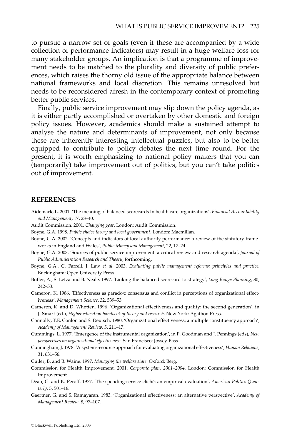to pursue a narrow set of goals (even if these are accompanied by a wide collection of performance indicators) may result in a huge welfare loss for many stakeholder groups. An implication is that a programme of improvement needs to be matched to the plurality and diversity of public preferences, which raises the thorny old issue of the appropriate balance between national frameworks and local discretion. This remains unresolved but needs to be reconsidered afresh in the contemporary context of promoting better public services.

Finally, public service improvement may slip down the policy agenda, as it is either partly accomplished or overtaken by other domestic and foreign policy issues. However, academics should make a sustained attempt to analyse the nature and determinants of improvement, not only because these are inherently interesting intellectual puzzles, but also to be better equipped to contribute to policy debates the next time round. For the present, it is worth emphasizing to national policy makers that you can (temporarily) take improvement out of politics, but you can't take politics out of improvement.

#### **REFERENCES**

- Aidemark, L. 2001. 'The meaning of balanced scorecards In health care organizations', *Financial Accountability and Management*, 17, 23–40.
- Audit Commission. 2001. *Changing gear*. London: Audit Commission.
- Boyne, G.A. 1998. *Public choice theory and local government*. London: Macmillan.
- Boyne, G.A. 2002. 'Concepts and indicators of local authority performance: a review of the statutory frameworks in England and Wales', *Public Money and Management*, 22, 17–24.
- Boyne, G.A. 2003. 'Sources of public service improvement: a critical review and research agenda', *Journal of Public Administration Research and Theory*, forthcoming.
- Boyne, G.A., C. Farrell, J. Law *et al*. 2003. *Evaluating public management reforms: principles and practice*. Buckingham: Open University Press.
- Butler, A., S. Letza and B. Neale. 1997. 'Linking the balanced scorecard to strategy', *Long Range Planning*, 30, 242–53.
- Cameron, K. 1986. 'Effectiveness as paradox: consensus and conflict in perceptions of organizational effectiveness', *Management Science*, 32, 539–53.
- Cameron, K. and D. Whetten. 1996. 'Organizational effectiveness and quality: the second generation', in J. Smart (ed.), *Higher education handbook of theory and research*. New York: Agathon Press.
- Connolly, T.E. Conlon and S. Deutsch. 1980. 'Organizational effectiveness: a multiple constituency approach', *Academy of Management Review*, 5, 211–17.
- Cummings, L. 1977. 'Emergence of the instrumental organization', in P. Goodman and J. Pennings (eds), *New perspectives on organizational effectiveness*. San Francisco: Jossey-Bass.

Cunningham, J. 1978. 'A system-resource approach for evaluating organizational effectiveness', *Human Relations*, 31, 631–56.

Cutler, B. and B. Waine. 1997. *Managing the welfare state*. Oxford: Berg.

- Commission for Health Improvement. 2001. *Corporate plan, 2001–2004*. London: Commission for Health Improvement.
- Dean, G. and K. Peroff. 1977. 'The spending-service cliché: an empirical evaluation', *American Politics Quarterly*, 5, 501–16.
- Gaertner, G. and S. Ramayaran. 1983. 'Organizational effectiveness: an alternative perspective', *Academy of Management Review*, 8, 97–107.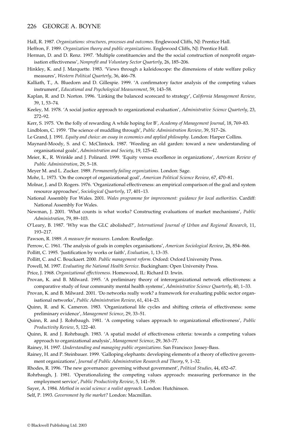#### 226 GEORGE A. BOYNE

Hall, R. 1987. *Organizations: structures, processes and outcomes*. Englewood Cliffs, NJ: Prentice Hall.

Heffron, F. 1989. *Organization theory and public organizations*. Englewood Cliffs, NJ: Prentice Hall.

- Herman, D. and D. Renz. 1997. 'Multiple constituencies and the the social construction of nonprofit organisation effectiveness', *Nonprofit and Voluntary Sector Quarterly*, 26, 185–206.
- Hinkley, K. and J. Marquette. 1983. 'Views through a kaleidoscope: the dimensions of state welfare policy measures', *Western Political Quarterly*, 36, 466–78.
- Kalliath, T., A. Bluedorn and D. Gillespie. 1999. 'A confirmatory factor analysis of the competing values instrument', *Educational and Psychological Measurement*, 59, 143–58.
- Kaplan, R. and D. Norton. 1996. 'Linking the balanced scorecard to strategy', *California Management Review*, 39, 1, 53–74.
- Keeley, M. 1978. 'A social justice approach to organizational evaluation', *Administrative Science Quarterly*, 23, 272–92.
- Kerr, S. 1975. 'On the folly of rewarding A while hoping for B', *Academy of Management Journal*, 18, 769–83.

Lindblom, C. 1959. 'The science of muddling through', *Public Administration Review*, 39, 517–26.

- Le Grand, J. 1991. *Equity and choice: an essay in economics and applied philosophy*. London: Harper Collins.
- Maynard-Moody, S. and C. McClintock. 1987. 'Weeding an old garden: toward a new understanding of organisational goals', *Administration and Society*, 19, 125–42.
- Meier, K., R. Wrinkle and J. Polinard. 1999. 'Equity versus excellence in organizations', *American Review of Public Administration*, 29, 5–18.
- Meyer M. and L. Zucker. 1989. *Permanently failing organizations*. London: Sage.
- Mohr, L. 1973. 'On the concept of organizational goal', *American Political Science Review*, 67, 470–81.
- Molnar, J. and D. Rogers. 1976. 'Organizational effectiveness: an empirical comparison of the goal and system resource approaches', *Sociological Quarterly*, 17, 401–13.
- National Assembly For Wales. 2001. *Wales programme for improvement: guidance for local authorities*. Cardiff: National Assembly For Wales.
- Newman, J. 2001. 'What counts is what works? Constructing evaluations of market mechanisms', *Public Administration*, 79, 89–103.
- O'Leary, B. 1987. 'Why was the GLC abolished?', *International Journal of Urban and Regional Research*, 11, 193–217.
- Pawson, R. 1989. *A measure for measures*. London: Routledge.
- Perrow, C. 1961. 'The analysis of goals in complex organisations', *American Sociological Review*, 26, 854–866.

Pollitt, C. 1995. 'Justification by works or faith', *Evaluation*, 1, 13–35.

- Pollitt, C. and C. Bouckaert. 2000. *Public management reform*. Oxford: Oxford University Press.
- Powell, M. 1997. *Evaluating the National Health Service*. Buckingham: Open University Press.
- Price, J. 1968. *Organizational effectiveness*. Homewood, IL: Richard D. Irwin.
- Provan, K. and B. Milward. 1995. 'A preliminary theory of interorganizational network effectiveness: a comparative study of four community mental health systems', *Administrative Science Quarterly*, 40, 1–33.
- Provan, K. and B. Milward. 2001. 'Do networks really work? a framework for evaluating public sector organisational networks', *Public Administration Review*, 61, 414–23.
- Quinn, R. and K. Cameron. 1983. 'Organizational life cycles and shifting criteria of effectiveness: some preliminary evidence', *Management Science*, 29, 33–51.
- Quinn, R. and J. Rohrbaugh. 1981. 'A competing values approach to organizational effectiveness', *Public Productivity Review*, 5, 122–40.
- Quinn, R. and J. Rohrbaugh. 1983. 'A spatial model of effectiveness criteria: towards a competing values approach to organizational analysis', *Management Science*, 29, 363–77.
- Rainey, H. 1997. *Understanding and managing public organizations*. San Francisco: Jossey-Bass.
- Rainey, H. and P. Steinbauer. 1999. 'Galloping elephants: developing elements of a theory of effective government organizations', *Journal of Public Administration Research and Theory*, 9, 1–32.
- Rhodes, R. 1996. 'The new governance: governing without government', *Political Studies*, 44, 652–67.
- Rohrbaugh, J. 1981. 'Operationalizing the competing values approach: measuring performance in the employment service', *Public Productivity Review*, 5, 141–59.
- Sayer, A. 1984. *Method in social science: a realist approach*. London: Hutchinson.
- Self, P. 1993. *Government by the market?* London: Macmillan.